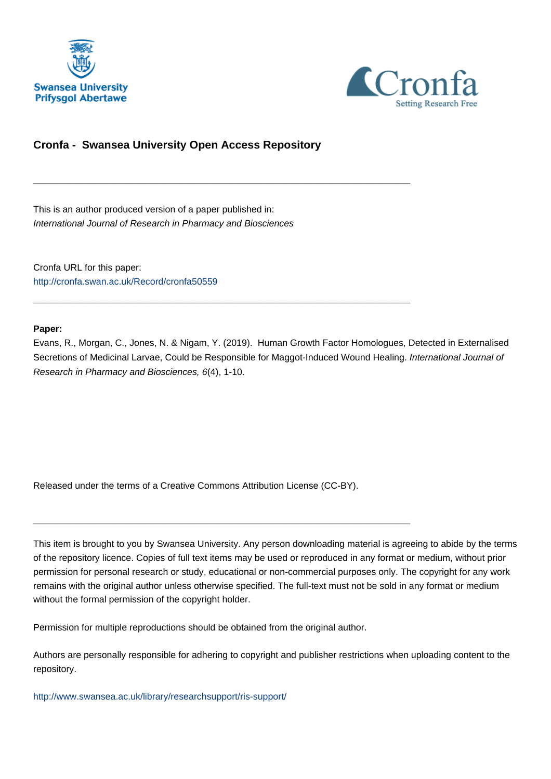



# **Cronfa - Swansea University Open Access Repository**

\_\_\_\_\_\_\_\_\_\_\_\_\_\_\_\_\_\_\_\_\_\_\_\_\_\_\_\_\_\_\_\_\_\_\_\_\_\_\_\_\_\_\_\_\_\_\_\_\_\_\_\_\_\_\_\_\_\_\_\_\_

\_\_\_\_\_\_\_\_\_\_\_\_\_\_\_\_\_\_\_\_\_\_\_\_\_\_\_\_\_\_\_\_\_\_\_\_\_\_\_\_\_\_\_\_\_\_\_\_\_\_\_\_\_\_\_\_\_\_\_\_\_

This is an author produced version of a paper published in: International Journal of Research in Pharmacy and Biosciences

Cronfa URL for this paper: <http://cronfa.swan.ac.uk/Record/cronfa50559>

## **Paper:**

Evans, R., Morgan, C., Jones, N. & Nigam, Y. (2019). Human Growth Factor Homologues, Detected in Externalised Secretions of Medicinal Larvae, Could be Responsible for Maggot-Induced Wound Healing. International Journal of Research in Pharmacy and Biosciences, 6(4), 1-10.

Released under the terms of a Creative Commons Attribution License (CC-BY).

\_\_\_\_\_\_\_\_\_\_\_\_\_\_\_\_\_\_\_\_\_\_\_\_\_\_\_\_\_\_\_\_\_\_\_\_\_\_\_\_\_\_\_\_\_\_\_\_\_\_\_\_\_\_\_\_\_\_\_\_\_

This item is brought to you by Swansea University. Any person downloading material is agreeing to abide by the terms of the repository licence. Copies of full text items may be used or reproduced in any format or medium, without prior permission for personal research or study, educational or non-commercial purposes only. The copyright for any work remains with the original author unless otherwise specified. The full-text must not be sold in any format or medium without the formal permission of the copyright holder.

Permission for multiple reproductions should be obtained from the original author.

Authors are personally responsible for adhering to copyright and publisher restrictions when uploading content to the repository.

[http://www.swansea.ac.uk/library/researchsupport/ris-support/](http://www.swansea.ac.uk/library/researchsupport/ris-support/ )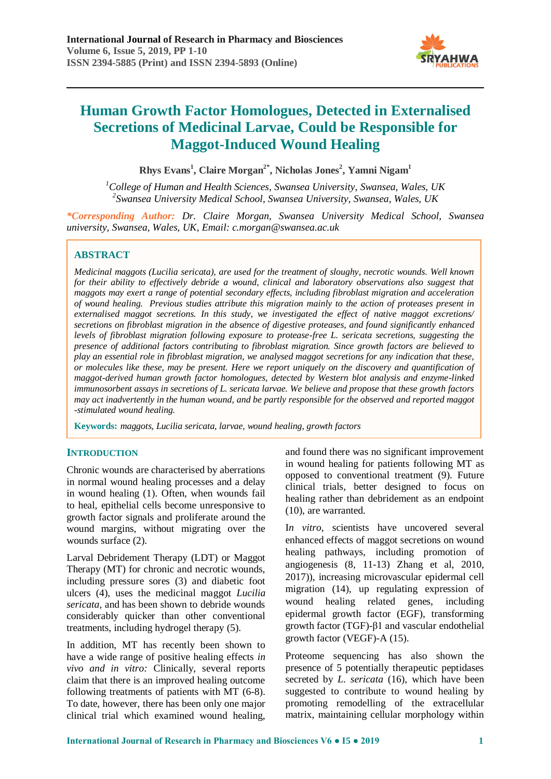

**Rhys Evans<sup>1</sup> , Claire Morgan2\* , Nicholas Jones<sup>2</sup> , Yamni Nigam<sup>1</sup>**

*<sup>1</sup>College of Human and Health Sciences, Swansea University, Swansea, Wales, UK 2 Swansea University Medical School, Swansea University, Swansea, Wales, UK*

*\*Corresponding Author: Dr. Claire Morgan, Swansea University Medical School, Swansea university, Swansea, Wales, UK, Email: c.morgan@swansea.ac.uk*

## **ABSTRACT**

*Medicinal maggots (Lucilia sericata), are used for the treatment of sloughy, necrotic wounds. Well known for their ability to effectively debride a wound, clinical and laboratory observations also suggest that maggots may exert a range of potential secondary effects, including fibroblast migration and acceleration of wound healing. Previous studies attribute this migration mainly to the action of proteases present in externalised maggot secretions. In this study, we investigated the effect of native maggot excretions/ secretions on fibroblast migration in the absence of digestive proteases, and found significantly enhanced levels of fibroblast migration following exposure to protease-free L. sericata secretions, suggesting the presence of additional factors contributing to fibroblast migration. Since growth factors are believed to play an essential role in fibroblast migration, we analysed maggot secretions for any indication that these, or molecules like these, may be present. Here we report uniquely on the discovery and quantification of maggot-derived human growth factor homologues, detected by Western blot analysis and enzyme-linked immunosorbent assays in secretions of L. sericata larvae. We believe and propose that these growth factors may act inadvertently in the human wound, and be partly responsible for the observed and reported maggot -stimulated wound healing.*

**Keywords:** *maggots, Lucilia sericata, larvae, wound healing, growth factors*

## **INTRODUCTION**

Chronic wounds are characterised by aberrations in normal wound healing processes and a delay in wound healing (1). Often, when wounds fail to heal, epithelial cells become unresponsive to growth factor signals and proliferate around the wound margins, without migrating over the wounds surface (2).

Larval Debridement Therapy (LDT) or Maggot Therapy (MT) for chronic and necrotic wounds, including pressure sores (3) and diabetic foot ulcers (4), uses the medicinal maggot *Lucilia sericata*, and has been shown to debride wounds considerably quicker than other conventional treatments, including hydrogel therapy (5).

In addition, MT has recently been shown to have a wide range of positive healing effects *in vivo and in vitro:* Clinically, several reports claim that there is an improved healing outcome following treatments of patients with MT (6-8). To date, however, there has been only one major clinical trial which examined wound healing, and found there was no significant improvement in wound healing for patients following MT as opposed to conventional treatment (9). Future clinical trials, better designed to focus on healing rather than debridement as an endpoint (10), are warranted.

I*n vitro*, scientists have uncovered several enhanced effects of maggot secretions on wound healing pathways, including promotion of angiogenesis (8, 11-13) Zhang et al, 2010, 2017)), increasing microvascular epidermal cell migration (14), up regulating expression of wound healing related genes, including epidermal growth factor (EGF), transforming growth factor (TGF)-β1 and vascular endothelial growth factor (VEGF)-A (15).

Proteome sequencing has also shown the presence of 5 potentially therapeutic peptidases secreted by *L. sericata* (16), which have been suggested to contribute to wound healing by promoting remodelling of the extracellular matrix, maintaining cellular morphology within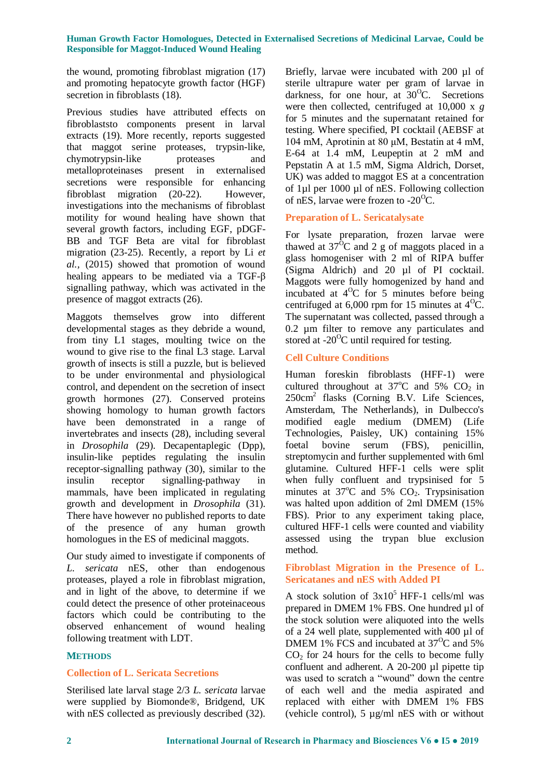the wound, promoting fibroblast migration (17) and promoting hepatocyte growth factor (HGF) secretion in fibroblasts (18).

Previous studies have attributed effects on fibroblaststo components present in larval extracts (19). More recently, reports suggested that maggot serine proteases, trypsin-like, chymotrypsin-like proteases and metalloproteinases present in externalised secretions were responsible for enhancing fibroblast migration (20-22). However, investigations into the mechanisms of fibroblast motility for wound healing have shown that several growth factors, including EGF, pDGF-BB and TGF Beta are vital for fibroblast migration (23-25). Recently, a report by Li *et al.,* (2015) showed that promotion of wound healing appears to be mediated via a TGF-β signalling pathway, which was activated in the presence of maggot extracts (26).

Maggots themselves grow into different developmental stages as they debride a wound, from tiny L1 stages, moulting twice on the wound to give rise to the final L3 stage. Larval growth of insects is still a puzzle, but is believed to be under environmental and physiological control, and dependent on the secretion of insect growth hormones (27). Conserved proteins showing homology to human growth factors have been demonstrated in a range of invertebrates and insects (28), including several in *Drosophila* (29). Decapentaplegic (Dpp), insulin-like peptides regulating the insulin receptor-signalling pathway (30), similar to the insulin receptor signalling-pathway in mammals, have been implicated in regulating growth and development in *Drosophila* (31). There have however no published reports to date of the presence of any human growth homologues in the ES of medicinal maggots.

Our study aimed to investigate if components of *L. sericata* nES, other than endogenous proteases, played a role in fibroblast migration, and in light of the above, to determine if we could detect the presence of other proteinaceous factors which could be contributing to the observed enhancement of wound healing following treatment with LDT.

## **METHODS**

## **Collection of L. Sericata Secretions**

Sterilised late larval stage 2/3 *L. sericata* larvae were supplied by Biomonde®, Bridgend, UK with nES collected as previously described  $(32)$ .

Briefly, larvae were incubated with 200 µl of sterile ultrapure water per gram of larvae in darkness, for one hour, at  $30^{\circ}$ C. Secretions were then collected, centrifuged at 10,000 x *g* for 5 minutes and the supernatant retained for testing. Where specified, PI cocktail (AEBSF at 104 mM, Aprotinin at 80 μM, Bestatin at 4 mM, E-64 at 1.4 mM, Leupeptin at 2 mM and Pepstatin A at 1.5 mM, Sigma Aldrich, Dorset, UK) was added to maggot ES at a concentration of 1µl per 1000 µl of nES. Following collection of nES, larvae were frozen to  $-20^{\circ}$ C.

## **Preparation of L. Sericatalysate**

For lysate preparation, frozen larvae were thawed at  $37^{\circ}$ C and 2 g of maggots placed in a glass homogeniser with 2 ml of RIPA buffer (Sigma Aldrich) and 20 µl of PI cocktail. Maggots were fully homogenized by hand and incubated at  $4^{\circ}$ C for 5 minutes before being centrifuged at  $6,000$  rpm for 15 minutes at  $4^{\circ}$ C. The supernatant was collected, passed through a 0.2 µm filter to remove any particulates and stored at  $-20^{\circ}$ C until required for testing.

## **Cell Culture Conditions**

Human foreskin fibroblasts (HFF-1) were cultured throughout at  $37^{\circ}$ C and  $5\%$  CO<sub>2</sub> in 250cm<sup>2</sup> flasks (Corning B.V. Life Sciences, Amsterdam, The Netherlands), in Dulbecco's modified eagle medium (DMEM) (Life Technologies, Paisley, UK) containing 15% foetal bovine serum (FBS), penicillin, streptomycin and further supplemented with 6ml glutamine. Cultured HFF-1 cells were split when fully confluent and trypsinised for 5 minutes at  $37^{\circ}$ C and  $5\%$  CO<sub>2</sub>. Trypsinisation was halted upon addition of 2ml DMEM (15% FBS). Prior to any experiment taking place, cultured HFF-1 cells were counted and viability assessed using the trypan blue exclusion method.

## **Fibroblast Migration in the Presence of L. Sericatanes and nES with Added PI**

A stock solution of  $3x10^5$  HFF-1 cells/ml was prepared in DMEM 1% FBS. One hundred µl of the stock solution were aliquoted into the wells of a 24 well plate, supplemented with 400 µl of DMEM 1% FCS and incubated at  $37^{\circ}$ C and 5%  $CO<sub>2</sub>$  for 24 hours for the cells to become fully confluent and adherent. A 20-200 µl pipette tip was used to scratch a "wound" down the centre of each well and the media aspirated and replaced with either with DMEM 1% FBS (vehicle control), 5 µg/ml nES with or without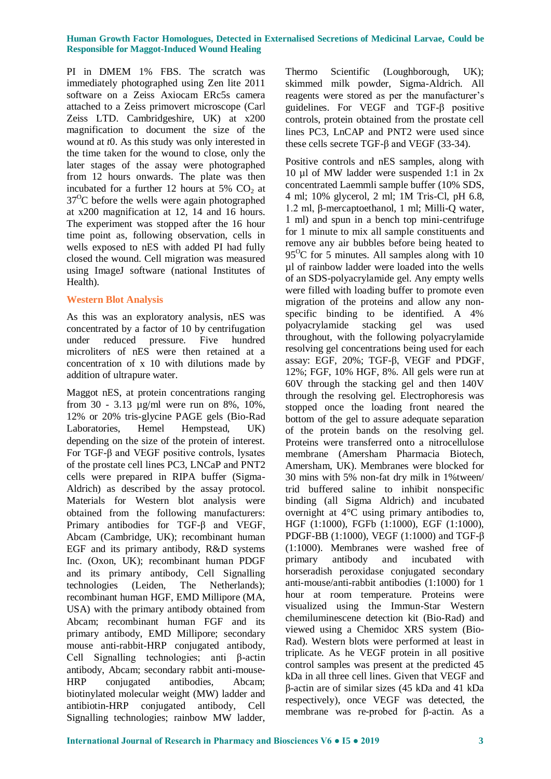PI in DMEM 1% FBS. The scratch was immediately photographed using Zen lite 2011 software on a Zeiss Axiocam ERc5s camera attached to a Zeiss primovert microscope (Carl Zeiss LTD. Cambridgeshire, UK) at x200 magnification to document the size of the wound at *t*0. As this study was only interested in the time taken for the wound to close, only the later stages of the assay were photographed from 12 hours onwards. The plate was then incubated for a further 12 hours at  $5\%$  CO<sub>2</sub> at  $37^{\circ}$ C before the wells were again photographed at x200 magnification at 12, 14 and 16 hours. The experiment was stopped after the 16 hour time point as, following observation, cells in wells exposed to nES with added PI had fully closed the wound. Cell migration was measured using ImageJ software (national Institutes of Health).

## **Western Blot Analysis**

As this was an exploratory analysis, nES was concentrated by a factor of 10 by centrifugation under reduced pressure. Five hundred microliters of nES were then retained at a concentration of x 10 with dilutions made by addition of ultrapure water.

Maggot nES, at protein concentrations ranging from 30 - 3.13 µg/ml were run on 8%, 10%, 12% or 20% tris-glycine PAGE gels (Bio-Rad Laboratories, Hemel Hempstead, UK) depending on the size of the protein of interest. For TGF-β and VEGF positive controls, lysates of the prostate cell lines PC3, LNCaP and PNT2 cells were prepared in RIPA buffer (Sigma-Aldrich) as described by the assay protocol. Materials for Western blot analysis were obtained from the following manufacturers: Primary antibodies for TGF-β and VEGF, Abcam (Cambridge, UK); recombinant human EGF and its primary antibody, R&D systems Inc. (Oxon, UK); recombinant human PDGF and its primary antibody, Cell Signalling technologies (Leiden, The Netherlands); recombinant human HGF, EMD Millipore (MA, USA) with the primary antibody obtained from Abcam; recombinant human FGF and its primary antibody, EMD Millipore; secondary mouse anti-rabbit-HRP conjugated antibody, Cell Signalling technologies; anti β-actin antibody, Abcam; secondary rabbit anti-mouse-HRP conjugated antibodies, Abcam; biotinylated molecular weight (MW) ladder and antibiotin-HRP conjugated antibody, Cell Signalling technologies; rainbow MW ladder,

Thermo Scientific (Loughborough, UK); skimmed milk powder, Sigma-Aldrich. All reagents were stored as per the manufacturer's guidelines. For VEGF and TGF-β positive controls, protein obtained from the prostate cell lines PC3, LnCAP and PNT2 were used since these cells secrete TGF-β and VEGF (33-34).

Positive controls and nES samples, along with 10 µl of MW ladder were suspended 1:1 in 2x concentrated Laemmli sample buffer (10% SDS, 4 ml; 10% glycerol, 2 ml; 1M Tris-Cl, pH 6.8, 1.2 ml, β-mercaptoethanol, 1 ml; Milli-Q water, 1 ml) and spun in a bench top mini-centrifuge for 1 minute to mix all sample constituents and remove any air bubbles before being heated to  $95^{\circ}$ C for 5 minutes. All samples along with 10 µl of rainbow ladder were loaded into the wells of an SDS-polyacrylamide gel. Any empty wells were filled with loading buffer to promote even migration of the proteins and allow any nonspecific binding to be identified. A 4% polyacrylamide stacking gel was used throughout, with the following polyacrylamide resolving gel concentrations being used for each assay: EGF, 20%; TGF-β, VEGF and PDGF, 12%; FGF, 10% HGF, 8%. All gels were run at 60V through the stacking gel and then 140V through the resolving gel. Electrophoresis was stopped once the loading front neared the bottom of the gel to assure adequate separation of the protein bands on the resolving gel. Proteins were transferred onto a nitrocellulose membrane (Amersham Pharmacia Biotech, Amersham, UK). Membranes were blocked for 30 mins with 5% non-fat dry milk in 1%tween/ trid buffered saline to inhibit nonspecific binding (all Sigma Aldrich) and incubated overnight at 4°C using primary antibodies to, HGF (1:1000), FGFb (1:1000), EGF (1:1000), PDGF-BB (1:1000), VEGF (1:1000) and TGF-β (1:1000). Membranes were washed free of primary antibody and incubated with horseradish peroxidase conjugated secondary anti-mouse/anti-rabbit antibodies (1:1000) for 1 hour at room temperature. Proteins were visualized using the Immun-Star Western chemiluminescene detection kit (Bio-Rad) and viewed using a Chemidoc XRS system (Bio-Rad). Western blots were performed at least in triplicate. As he VEGF protein in all positive control samples was present at the predicted 45 kDa in all three cell lines. Given that VEGF and β-actin are of similar sizes (45 kDa and 41 kDa respectively), once VEGF was detected, the membrane was re-probed for β-actin. As a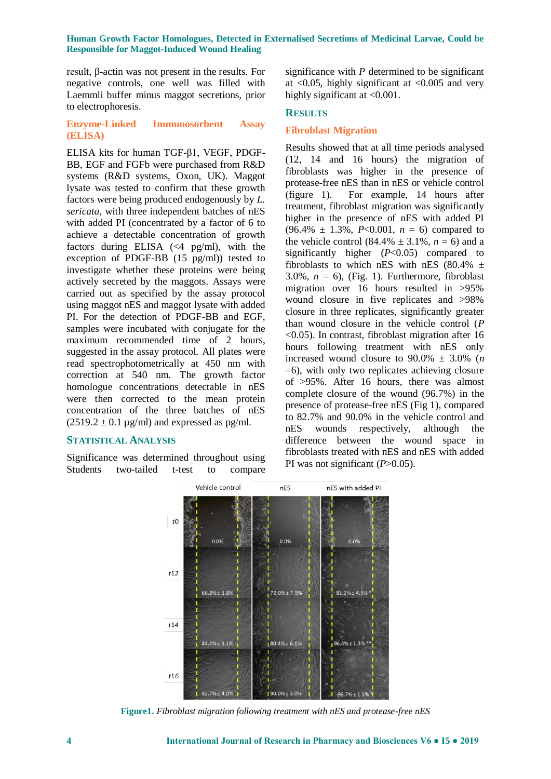result, β-actin was not present in the results. For negative controls, one well was filled with Laemmli buffer minus maggot secretions, prior to electrophoresis.

## **Enzyme-Linked Immunosorbent Assay (ELISA)**

ELISA kits for human TGF-β1, VEGF, PDGF-BB, EGF and FGFb were purchased from R&D systems (R&D systems, Oxon, UK). Maggot lysate was tested to confirm that these growth factors were being produced endogenously by *L. sericata*, with three independent batches of nES with added PI (concentrated by a factor of 6 to achieve a detectable concentration of growth factors during ELISA  $\ll 4$  pg/ml), with the exception of PDGF-BB (15 pg/ml)) tested to investigate whether these proteins were being actively secreted by the maggots. Assays were carried out as specified by the assay protocol using maggot nES and maggot lysate with added PI. For the detection of PDGF-BB and EGF, samples were incubated with conjugate for the maximum recommended time of 2 hours, suggested in the assay protocol. All plates were read spectrophotometrically at 450 nm with correction at 540 nm. The growth factor homologue concentrations detectable in nES were then corrected to the mean protein concentration of the three batches of nES  $(2519.2 \pm 0.1 \,\mu\text{g/ml})$  and expressed as pg/ml.

## **STATISTICAL ANALYSIS**

Significance was determined throughout using Students two-tailed t-test to compare

significance with *P* determined to be significant at  $\langle 0.05$ , highly significant at  $\langle 0.005$  and very highly significant at <0.001.

## **RESULTS**

### **Fibroblast Migration**

Results showed that at all time periods analysed (12, 14 and 16 hours) the migration of fibroblasts was higher in the presence of protease-free nES than in nES or vehicle control (figure 1). For example, 14 hours after treatment, fibroblast migration was significantly higher in the presence of nES with added PI  $(96.4\% \pm 1.3\%, P<0.001, n = 6)$  compared to the vehicle control  $(84.4\% \pm 3.1\%, n = 6)$  and a significantly higher (*P*<0.05) compared to fibroblasts to which nES with nES (80.4%  $\pm$ 3.0%,  $n = 6$ ), (Fig. 1). Furthermore, fibroblast migration over 16 hours resulted in >95% wound closure in five replicates and >98% closure in three replicates, significantly greater than wound closure in the vehicle control (*P* <0.05). In contrast, fibroblast migration after 16 hours following treatment with nES only increased wound closure to  $90.0\% \pm 3.0\%$  (*n*) =6), with only two replicates achieving closure of >95%. After 16 hours, there was almost complete closure of the wound (96.7%) in the presence of protease-free nES (Fig 1), compared to 82.7% and 90.0% in the vehicle control and nES wounds respectively, although the difference between the wound space in fibroblasts treated with nES and nES with added PI was not significant (*P*>0.05).



**Figure1.** *Fibroblast migration following treatment with nES and protease-free nES*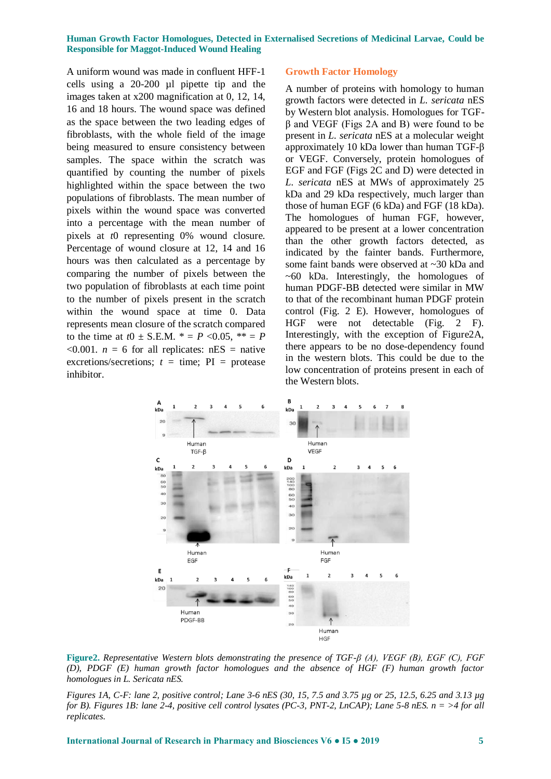A uniform wound was made in confluent HFF-1 cells using a 20-200 µl pipette tip and the images taken at x200 magnification at 0, 12, 14, 16 and 18 hours. The wound space was defined as the space between the two leading edges of fibroblasts, with the whole field of the image being measured to ensure consistency between samples. The space within the scratch was quantified by counting the number of pixels highlighted within the space between the two populations of fibroblasts. The mean number of pixels within the wound space was converted into a percentage with the mean number of pixels at *t*0 representing 0% wound closure. Percentage of wound closure at 12, 14 and 16 hours was then calculated as a percentage by comparing the number of pixels between the two population of fibroblasts at each time point to the number of pixels present in the scratch within the wound space at time 0. Data represents mean closure of the scratch compared to the time at  $t0 \pm S.E.M. * = P \le 0.05, ** = P$  $\leq 0.001$ . *n* = 6 for all replicates: nES = native excretions/secretions;  $t = \text{time}$ ; PI = protease inhibitor.

#### **Growth Factor Homology**

A number of proteins with homology to human growth factors were detected in *L. sericata* nES by Western blot analysis. Homologues for TGFβ and VEGF (Figs 2A and B) were found to be present in *L. sericata* nES at a molecular weight approximately 10 kDa lower than human TGF-β or VEGF. Conversely, protein homologues of EGF and FGF (Figs 2C and D) were detected in *L. sericata* nES at MWs of approximately 25 kDa and 29 kDa respectively, much larger than those of human EGF (6 kDa) and FGF (18 kDa). The homologues of human FGF, however, appeared to be present at a lower concentration than the other growth factors detected, as indicated by the fainter bands. Furthermore, some faint bands were observed at ~30 kDa and  $~60$  kDa. Interestingly, the homologues of human PDGF-BB detected were similar in MW to that of the recombinant human PDGF protein control (Fig. 2 E). However, homologues of HGF were not detectable (Fig. 2 F). Interestingly, with the exception of Figure2A, there appears to be no dose-dependency found in the western blots. This could be due to the low concentration of proteins present in each of the Western blots.



**Figure2.** *Representative Western blots demonstrating the presence of TGF-β (A), VEGF (B), EGF (C), FGF (D), PDGF (E) human growth factor homologues and the absence of HGF (F) human growth factor homologues in L. Sericata nES.*

*Figures 1A, C-F: lane 2, positive control; Lane 3-6 nES (30, 15, 7.5 and 3.75 µg or 25, 12.5, 6.25 and 3.13 µg for B). Figures 1B: lane 2-4, positive cell control lysates (PC-3, PNT-2, LnCAP); Lane 5-8 nES. n = >4 for all replicates.*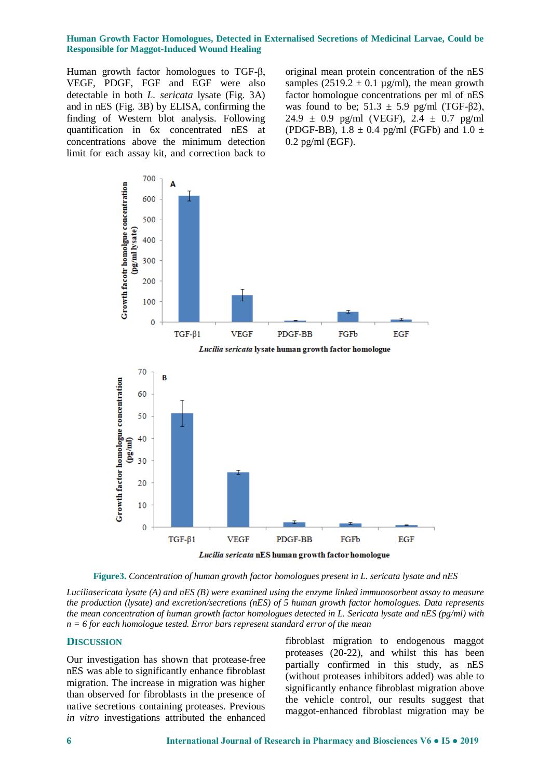Human growth factor homologues to TGF-β, VEGF, PDGF, FGF and EGF were also detectable in both *L. sericata* lysate (Fig. 3A) and in nES (Fig. 3B) by ELISA, confirming the finding of Western blot analysis. Following quantification in 6x concentrated nES at concentrations above the minimum detection limit for each assay kit, and correction back to

original mean protein concentration of the nES samples  $(2519.2 \pm 0.1 \text{ µg/ml})$ , the mean growth factor homologue concentrations per ml of nES was found to be;  $51.3 \pm 5.9$  pg/ml (TGF- $\beta$ 2), 24.9  $\pm$  0.9 pg/ml (VEGF), 2.4  $\pm$  0.7 pg/ml (PDGF-BB),  $1.8 \pm 0.4$  pg/ml (FGFb) and  $1.0 \pm$ 0.2 pg/ml (EGF).



**Figure3.** *Concentration of human growth factor homologues present in L. sericata lysate and nES*

*Luciliasericata lysate (A) and nES (B) were examined using the enzyme linked immunosorbent assay to measure the production (lysate) and excretion/secretions (nES) of 5 human growth factor homologues. Data represents the mean concentration of human growth factor homologues detected in L. Sericata lysate and nES (pg/ml) with n = 6 for each homologue tested. Error bars represent standard error of the mean*

### **DISCUSSION**

Our investigation has shown that protease-free nES was able to significantly enhance fibroblast migration. The increase in migration was higher than observed for fibroblasts in the presence of native secretions containing proteases. Previous *in vitro* investigations attributed the enhanced

fibroblast migration to endogenous maggot proteases (20-22), and whilst this has been partially confirmed in this study, as nES (without proteases inhibitors added) was able to significantly enhance fibroblast migration above the vehicle control, our results suggest that maggot-enhanced fibroblast migration may be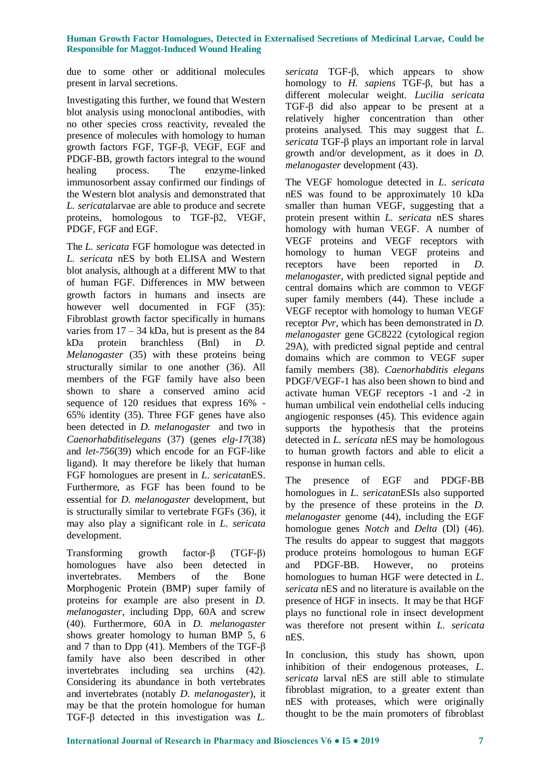due to some other or additional molecules present in larval secretions.

Investigating this further, we found that Western blot analysis using monoclonal antibodies, with no other species cross reactivity, revealed the presence of molecules with homology to human growth factors FGF, TGF-β, VEGF, EGF and PDGF-BB, growth factors integral to the wound healing process. The enzyme-linked immunosorbent assay confirmed our findings of the Western blot analysis and demonstrated that *L. sericata*larvae are able to produce and secrete proteins, homologous to TGF-β2, VEGF, PDGF, FGF and EGF.

The *L. sericata* FGF homologue was detected in *L. sericata* nES by both ELISA and Western blot analysis, although at a different MW to that of human FGF. Differences in MW between growth factors in humans and insects are however well documented in FGF (35): Fibroblast growth factor specifically in humans varies from  $17 - 34$  kDa, but is present as the 84 kDa protein branchless (Bnl) in *D. Melanogaster* (35) with these proteins being structurally similar to one another (36). All members of the FGF family have also been shown to share a conserved amino acid sequence of 120 residues that express 16% - 65% identity (35). Three FGF genes have also been detected in *D. melanogaster* and two in *Caenorhabditiselegans* (37) (genes *elg-17*(38) and *let-756*(39) which encode for an FGF-like ligand). It may therefore be likely that human FGF homologues are present in *L. sericata*nES. Furthermore, as FGF has been found to be essential for *D. melanogaster* development, but is structurally similar to vertebrate FGFs (36), it may also play a significant role in *L. sericata* development.

Transforming growth factor-β (TGF-β) homologues have also been detected in invertebrates. Members of the Bone Morphogenic Protein (BMP) super family of proteins for example are also present in *D. melanogaster*, including Dpp, 60A and screw (40). Furthermore, 60A in *D. melanogaster*  shows greater homology to human BMP 5, 6 and 7 than to Dpp (41). Members of the TGF-β family have also been described in other invertebrates including sea urchins (42). Considering its abundance in both vertebrates and invertebrates (notably *D. melanogaster*), it may be that the protein homologue for human TGF-β detected in this investigation was *L.* 

*sericata* TGF-β, which appears to show homology to *H. sapiens* TGF-β, but has a different molecular weight. *Lucilia sericata* TGF-β did also appear to be present at a relatively higher concentration than other proteins analysed. This may suggest that *L. sericata* TGF-β plays an important role in larval growth and/or development, as it does in *D. melanogaster* development (43).

The VEGF homologue detected in *L. sericata* nES was found to be approximately 10 kDa smaller than human VEGF, suggesting that a protein present within *L. sericata* nES shares homology with human VEGF. A number of VEGF proteins and VEGF receptors with homology to human VEGF proteins and receptors have been reported in *D. melanogaster*, with predicted signal peptide and central domains which are common to VEGF super family members (44). These include a VEGF receptor with homology to human VEGF receptor *Pvr*, which has been demonstrated in *D. melanogaster* gene GC8222 (cytological region 29A), with predicted signal peptide and central domains which are common to VEGF super family members (38). *Caenorhabditis elegans* PDGF/VEGF-1 has also been shown to bind and activate human VEGF receptors -1 and -2 in human umbilical vein endothelial cells inducing angiogenic responses (45). This evidence again supports the hypothesis that the proteins detected in *L. sericata* nES may be homologous to human growth factors and able to elicit a response in human cells.

The presence of EGF and PDGF-BB homologues in *L. sericata*nESIs also supported by the presence of these proteins in the *D. melanogaster* genome (44), including the EGF homologue genes *Notch* and *Delta* (Dl) (46). The results do appear to suggest that maggots produce proteins homologous to human EGF and PDGF-BB. However, no proteins homologues to human HGF were detected in *L. sericata* nES and no literature is available on the presence of HGF in insects. It may be that HGF plays no functional role in insect development was therefore not present within *L. sericata* nES.

In conclusion, this study has shown, upon inhibition of their endogenous proteases, *L. sericata* larval nES are still able to stimulate fibroblast migration, to a greater extent than nES with proteases, which were originally thought to be the main promoters of fibroblast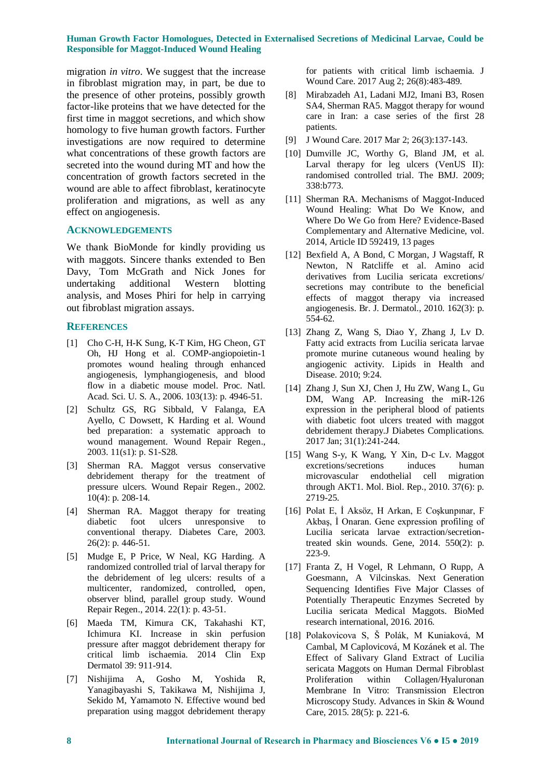migration *in vitro*. We suggest that the increase in fibroblast migration may, in part, be due to the presence of other proteins, possibly growth factor-like proteins that we have detected for the first time in maggot secretions, and which show homology to five human growth factors. Further investigations are now required to determine what concentrations of these growth factors are secreted into the wound during MT and how the concentration of growth factors secreted in the wound are able to affect fibroblast, keratinocyte proliferation and migrations, as well as any effect on angiogenesis.

#### **ACKNOWLEDGEMENTS**

We thank BioMonde for kindly providing us with maggots. Sincere thanks extended to Ben Davy, Tom McGrath and Nick Jones for undertaking additional Western blotting analysis, and Moses Phiri for help in carrying out fibroblast migration assays.

#### **REFERENCES**

- [1] Cho C-H, H-K Sung, K-T Kim, HG Cheon, GT Oh, HJ Hong et al. COMP-angiopoietin-1 promotes wound healing through enhanced angiogenesis, lymphangiogenesis, and blood flow in a diabetic mouse model. Proc. Natl. Acad. Sci. U. S. A., 2006. 103(13): p. 4946-51.
- [2] Schultz GS, RG Sibbald, V Falanga, EA Ayello, C Dowsett, K Harding et al. Wound bed preparation: a systematic approach to wound management. Wound Repair Regen., 2003. 11(s1): p. S1-S28.
- [3] Sherman RA. Maggot versus conservative debridement therapy for the treatment of pressure ulcers. Wound Repair Regen., 2002. 10(4): p. 208-14.
- [4] Sherman RA. Maggot therapy for treating diabetic foot ulcers unresponsive to conventional therapy. Diabetes Care, 2003. 26(2): p. 446-51.
- [5] Mudge E, P Price, W Neal, KG Harding. A randomized controlled trial of larval therapy for the debridement of leg ulcers: results of a multicenter, randomized, controlled, open, observer blind, parallel group study. Wound Repair Regen., 2014. 22(1): p. 43-51.
- [6] Maeda TM, Kimura CK, Takahashi KT, Ichimura KI. Increase in skin perfusion pressure after maggot debridement therapy for critical limb ischaemia. 2014 Clin Exp Dermatol 39: 911-914.
- [7] Nishijima A, Gosho M, Yoshida R, Yanagibayashi S, Takikawa M, Nishijima J, Sekido M, Yamamoto N. Effective wound bed preparation using maggot debridement therapy

for patients with critical limb ischaemia. J Wound Care. 2017 Aug 2; 26(8):483-489.

- [8] Mirabzadeh A1, Ladani MJ2, Imani B3, Rosen SA4, Sherman RA5. Maggot therapy for wound care in Iran: a case series of the first 28 patients.
- [9] J Wound Care. 2017 Mar 2; 26(3):137-143.
- [10] Dumville JC, Worthy G, Bland JM, et al. Larval therapy for leg ulcers (VenUS II): randomised controlled trial. The BMJ. 2009; 338:b773.
- [11] Sherman RA. Mechanisms of Maggot-Induced Wound Healing: What Do We Know, and Where Do We Go from Here? Evidence-Based Complementary and Alternative Medicine, vol. 2014, Article ID 592419, 13 pages
- [12] Bexfield A, A Bond, C Morgan, J Wagstaff, R Newton, N Ratcliffe et al. Amino acid derivatives from Lucilia sericata excretions/ secretions may contribute to the beneficial effects of maggot therapy via increased angiogenesis. Br. J. Dermatol., 2010. 162(3): p. 554-62.
- [13] Zhang Z, Wang S, Diao Y, Zhang J, Lv D. Fatty acid extracts from Lucilia sericata larvae promote murine cutaneous wound healing by angiogenic activity. Lipids in Health and Disease. 2010; 9:24.
- [14] Zhang J, Sun XJ, Chen J, Hu ZW, Wang L, Gu DM, Wang AP. Increasing the miR-126 expression in the peripheral blood of patients with diabetic foot ulcers treated with maggot debridement therapy.J Diabetes Complications. 2017 Jan; 31(1):241-244.
- [15] Wang S-y, K Wang, Y Xin, D-c Lv. Maggot excretions/secretions induces human microvascular endothelial cell migration through AKT1. Mol. Biol. Rep., 2010. 37(6): p. 2719-25.
- [16] Polat E, İ Aksöz, H Arkan, E Coşkunpınar, F Akbaş, İ Onaran. Gene expression profiling of Lucilia sericata larvae extraction/secretiontreated skin wounds. Gene, 2014. 550(2): p. 223-9.
- [17] Franta Z, H Vogel, R Lehmann, O Rupp, A Goesmann, A Vilcinskas. Next Generation Sequencing Identifies Five Major Classes of Potentially Therapeutic Enzymes Secreted by Lucilia sericata Medical Maggots. BioMed research international, 2016. 2016.
- [18] Polakovicova S, Š Polák, M Kuniaková, M Cambal, M Caplovicová, M Kozánek et al. The Effect of Salivary Gland Extract of Lucilia sericata Maggots on Human Dermal Fibroblast Proliferation within Collagen/Hyaluronan Membrane In Vitro: Transmission Electron Microscopy Study. Advances in Skin & Wound Care, 2015. 28(5): p. 221-6.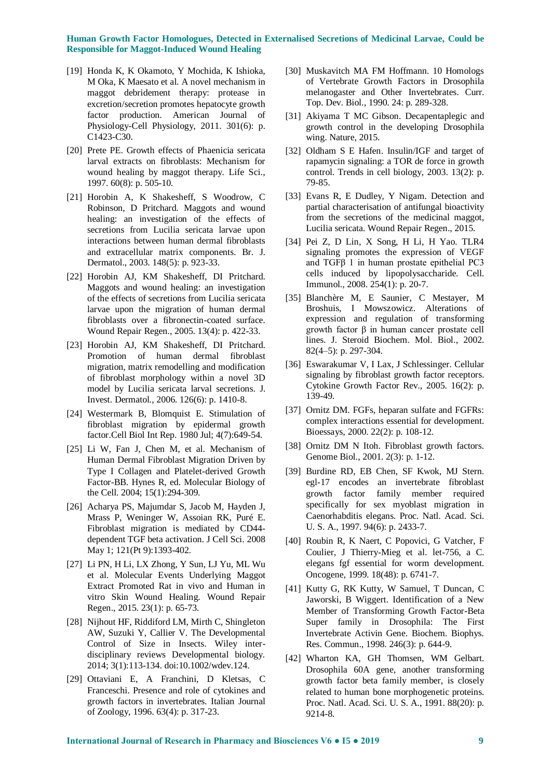- [19] Honda K, K Okamoto, Y Mochida, K Ishioka, M Oka, K Maesato et al. A novel mechanism in maggot debridement therapy: protease in excretion/secretion promotes hepatocyte growth factor production. American Journal of Physiology-Cell Physiology, 2011. 301(6): p. C1423-C30.
- [20] Prete PE. Growth effects of Phaenicia sericata larval extracts on fibroblasts: Mechanism for wound healing by maggot therapy. Life Sci., 1997. 60(8): p. 505-10.
- [21] Horobin A, K Shakesheff, S Woodrow, C Robinson, D Pritchard. Maggots and wound healing: an investigation of the effects of secretions from Lucilia sericata larvae upon interactions between human dermal fibroblasts and extracellular matrix components. Br. J. Dermatol., 2003. 148(5): p. 923-33.
- [22] Horobin AJ, KM Shakesheff, DI Pritchard. Maggots and wound healing: an investigation of the effects of secretions from Lucilia sericata larvae upon the migration of human dermal fibroblasts over a fibronectin-coated surface. Wound Repair Regen., 2005. 13(4): p. 422-33.
- [23] Horobin AJ, KM Shakesheff, DI Pritchard. Promotion of human dermal fibroblast migration, matrix remodelling and modification of fibroblast morphology within a novel 3D model by Lucilia sericata larval secretions. J. Invest. Dermatol., 2006. 126(6): p. 1410-8.
- [24] Westermark B, Blomquist E. Stimulation of fibroblast migration by epidermal growth factor.Cell Biol Int Rep. 1980 Jul; 4(7):649-54.
- [25] Li W, Fan J, Chen M, et al. Mechanism of Human Dermal Fibroblast Migration Driven by Type I Collagen and Platelet-derived Growth Factor-BB. Hynes R, ed. Molecular Biology of the Cell. 2004; 15(1):294-309.
- [26] Acharya PS, Majumdar S, Jacob M, Hayden J, Mrass P, Weninger W, Assoian RK, Puré E. Fibroblast migration is mediated by CD44 dependent TGF beta activation. J Cell Sci. 2008 May 1; 121(Pt 9):1393-402.
- [27] Li PN, H Li, LX Zhong, Y Sun, LJ Yu, ML Wu et al. Molecular Events Underlying Maggot Extract Promoted Rat in vivo and Human in vitro Skin Wound Healing. Wound Repair Regen., 2015. 23(1): p. 65-73.
- [28] Nijhout HF, Riddiford LM, Mirth C, Shingleton AW, Suzuki Y, Callier V. The Developmental Control of Size in Insects. Wiley interdisciplinary reviews Developmental biology. 2014; 3(1):113-134. doi:10.1002/wdev.124.
- [29] Ottaviani E, A Franchini, D Kletsas, C Franceschi. Presence and role of cytokines and growth factors in invertebrates. Italian Journal of Zoology, 1996. 63(4): p. 317-23.
- [30] Muskavitch MA FM Hoffmann. 10 Homologs of Vertebrate Growth Factors in Drosophila melanogaster and Other Invertebrates. Curr. Top. Dev. Biol., 1990. 24: p. 289-328.
- [31] Akiyama T MC Gibson. Decapentaplegic and growth control in the developing Drosophila wing. Nature, 2015.
- [32] Oldham S E Hafen. Insulin/IGF and target of rapamycin signaling: a TOR de force in growth control. Trends in cell biology, 2003. 13(2): p. 79-85.
- [33] Evans R, E Dudley, Y Nigam. Detection and partial characterisation of antifungal bioactivity from the secretions of the medicinal maggot, Lucilia sericata. Wound Repair Regen., 2015.
- [34] Pei Z, D Lin, X Song, H Li, H Yao. TLR4 signaling promotes the expression of VEGF and TGFβ 1 in human prostate epithelial PC3 cells induced by lipopolysaccharide. Cell. Immunol., 2008. 254(1): p. 20-7.
- [35] Blanchère M, E Saunier, C Mestayer, M Broshuis, I Mowszowicz. Alterations of expression and regulation of transforming growth factor β in human cancer prostate cell lines. J. Steroid Biochem. Mol. Biol., 2002. 82(4–5): p. 297-304.
- [36] Eswarakumar V, I Lax, J Schlessinger. Cellular signaling by fibroblast growth factor receptors. Cytokine Growth Factor Rev., 2005. 16(2): p. 139-49.
- [37] Ornitz DM. FGFs, heparan sulfate and FGFRs: complex interactions essential for development. Bioessays, 2000. 22(2): p. 108-12.
- [38] Ornitz DM N Itoh. Fibroblast growth factors. Genome Biol., 2001. 2(3): p. 1-12.
- [39] Burdine RD, EB Chen, SF Kwok, MJ Stern. egl-17 encodes an invertebrate fibroblast growth factor family member required specifically for sex myoblast migration in Caenorhabditis elegans. Proc. Natl. Acad. Sci. U. S. A., 1997. 94(6): p. 2433-7.
- [40] Roubin R, K Naert, C Popovici, G Vatcher, F Coulier, J Thierry-Mieg et al. let-756, a C. elegans fgf essential for worm development. Oncogene, 1999. 18(48): p. 6741-7.
- [41] Kutty G, RK Kutty, W Samuel, T Duncan, C Jaworski, B Wiggert. Identification of a New Member of Transforming Growth Factor-Beta Super family in Drosophila: The First Invertebrate Activin Gene. Biochem. Biophys. Res. Commun., 1998. 246(3): p. 644-9.
- [42] Wharton KA, GH Thomsen, WM Gelbart. Drosophila 60A gene, another transforming growth factor beta family member, is closely related to human bone morphogenetic proteins. Proc. Natl. Acad. Sci. U. S. A., 1991. 88(20): p. 9214-8.